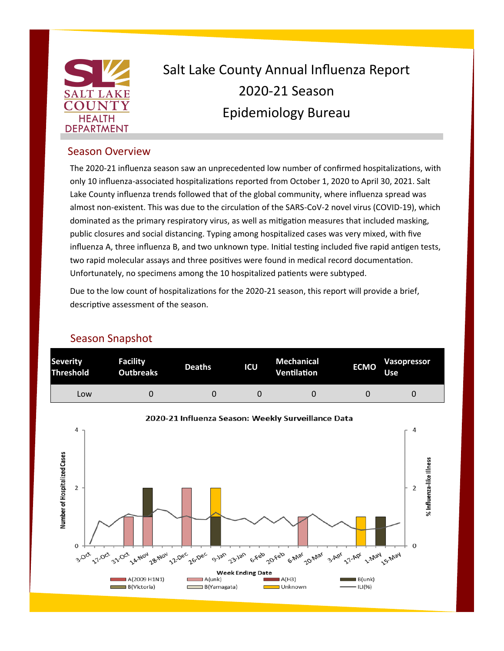

## Salt Lake County Annual Influenza Report 2020-21 Season Epidemiology Bureau

## Season Overview

The 2020-21 influenza season saw an unprecedented low number of confirmed hospitalizations, with only 10 influenza-associated hospitalizations reported from October 1, 2020 to April 30, 2021. Salt Lake County influenza trends followed that of the global community, where influenza spread was almost non-existent. This was due to the circulation of the SARS-CoV-2 novel virus (COVID-19), which dominated as the primary respiratory virus, as well as mitigation measures that included masking, public closures and social distancing. Typing among hospitalized cases was very mixed, with five influenza A, three influenza B, and two unknown type. Initial testing included five rapid antigen tests, two rapid molecular assays and three positives were found in medical record documentation. Unfortunately, no specimens among the 10 hospitalized patients were subtyped.

Due to the low count of hospitalizations for the 2020-21 season, this report will provide a brief, descriptive assessment of the season.

## Season Snapshot



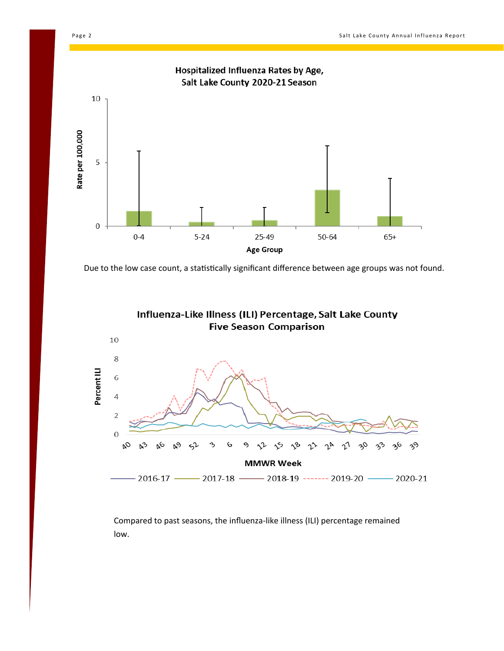



Due to the low case count, a statistically significant difference between age groups was not found.



Compared to past seasons, the influenza-like illness (ILI) percentage remained low.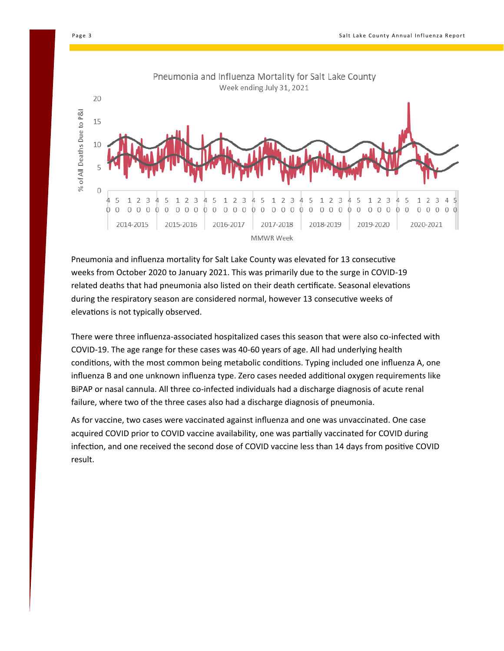



Pneumonia and influenza mortality for Salt Lake County was elevated for 13 consecutive weeks from October 2020 to January 2021. This was primarily due to the surge in COVID-19 related deaths that had pneumonia also listed on their death certificate. Seasonal elevations during the respiratory season are considered normal, however 13 consecutive weeks of elevations is not typically observed.

There were three influenza-associated hospitalized cases this season that were also co-infected with COVID-19. The age range for these cases was 40-60 years of age. All had underlying health conditions, with the most common being metabolic conditions. Typing included one influenza A, one influenza B and one unknown influenza type. Zero cases needed additional oxygen requirements like BiPAP or nasal cannula. All three co-infected individuals had a discharge diagnosis of acute renal failure, where two of the three cases also had a discharge diagnosis of pneumonia.

As for vaccine, two cases were vaccinated against influenza and one was unvaccinated. One case acquired COVID prior to COVID vaccine availability, one was partially vaccinated for COVID during infection, and one received the second dose of COVID vaccine less than 14 days from positive COVID result.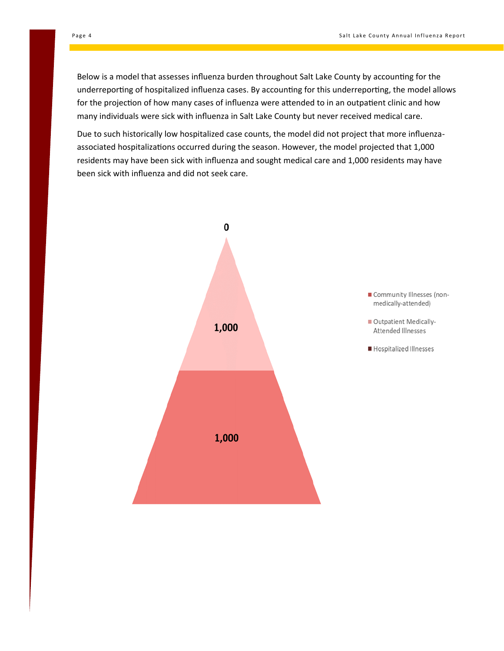Below is a model that assesses influenza burden throughout Salt Lake County by accounting for the underreporting of hospitalized influenza cases. By accounting for this underreporting, the model allows for the projection of how many cases of influenza were attended to in an outpatient clinic and how many individuals were sick with influenza in Salt Lake County but never received medical care.

Due to such historically low hospitalized case counts, the model did not project that more influenzaassociated hospitalizations occurred during the season. However, the model projected that 1,000 residents may have been sick with influenza and sought medical care and 1,000 residents may have been sick with influenza and did not seek care.

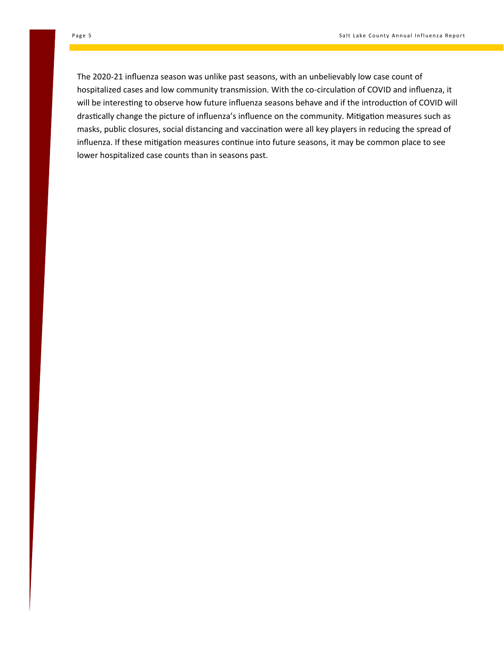The 2020-21 influenza season was unlike past seasons, with an unbelievably low case count of hospitalized cases and low community transmission. With the co-circulation of COVID and influenza, it will be interesting to observe how future influenza seasons behave and if the introduction of COVID will drastically change the picture of influenza's influence on the community. Mitigation measures such as masks, public closures, social distancing and vaccination were all key players in reducing the spread of influenza. If these mitigation measures continue into future seasons, it may be common place to see lower hospitalized case counts than in seasons past.